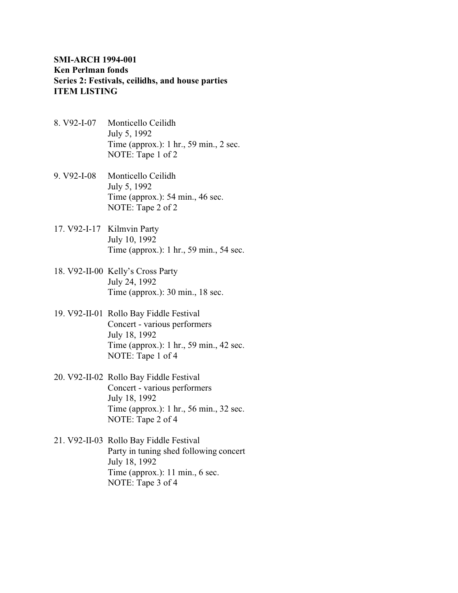## **SMI-ARCH 1994-001 Ken Perlman fonds Series 2: Festivals, ceilidhs, and house parties ITEM LISTING**

- 8. V92-I-07 Monticello Ceilidh July 5, 1992 Time (approx.): 1 hr., 59 min., 2 sec. NOTE: Tape 1 of 2
- 9. V92-I-08 Monticello Ceilidh July 5, 1992 Time (approx.): 54 min., 46 sec. NOTE: Tape 2 of 2
- 17. V92-I-17 Kilmvin Party July 10, 1992 Time (approx.): 1 hr., 59 min., 54 sec.
- 18. V92-II-00 Kelly's Cross Party July 24, 1992 Time (approx.): 30 min., 18 sec.
- 19. V92-II-01 Rollo Bay Fiddle Festival Concert - various performers July 18, 1992 Time (approx.): 1 hr., 59 min., 42 sec. NOTE: Tape 1 of 4
- 20. V92-II-02 Rollo Bay Fiddle Festival Concert - various performers July 18, 1992 Time (approx.): 1 hr., 56 min., 32 sec. NOTE: Tape 2 of 4
- 21. V92-II-03 Rollo Bay Fiddle Festival Party in tuning shed following concert July 18, 1992 Time (approx.): 11 min., 6 sec. NOTE: Tape 3 of 4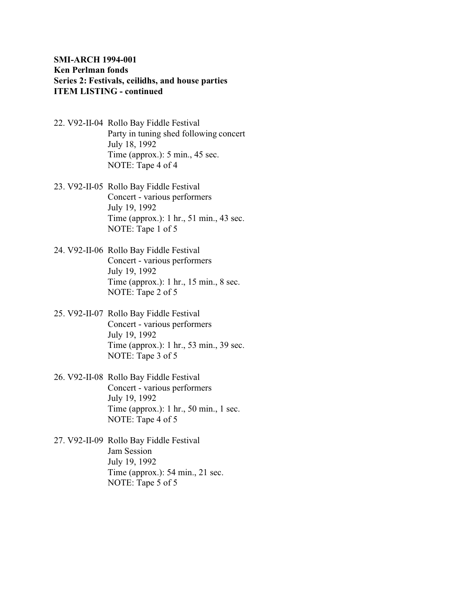## **SMI-ARCH 1994-001 Ken Perlman fonds Series 2: Festivals, ceilidhs, and house parties ITEM LISTING - continued**

- 22. V92-II-04 Rollo Bay Fiddle Festival Party in tuning shed following concert July 18, 1992 Time (approx.): 5 min., 45 sec. NOTE: Tape 4 of 4
- 23. V92-II-05 Rollo Bay Fiddle Festival Concert - various performers July 19, 1992 Time (approx.): 1 hr., 51 min., 43 sec. NOTE: Tape 1 of 5
- 24. V92-II-06 Rollo Bay Fiddle Festival Concert - various performers July 19, 1992 Time (approx.): 1 hr., 15 min., 8 sec. NOTE: Tape 2 of 5
- 25. V92-II-07 Rollo Bay Fiddle Festival Concert - various performers July 19, 1992 Time (approx.): 1 hr., 53 min., 39 sec. NOTE: Tape 3 of 5
- 26. V92-II-08 Rollo Bay Fiddle Festival Concert - various performers July 19, 1992 Time (approx.): 1 hr., 50 min., 1 sec. NOTE: Tape 4 of 5
- 27. V92-II-09 Rollo Bay Fiddle Festival Jam Session July 19, 1992 Time (approx.): 54 min., 21 sec. NOTE: Tape 5 of 5